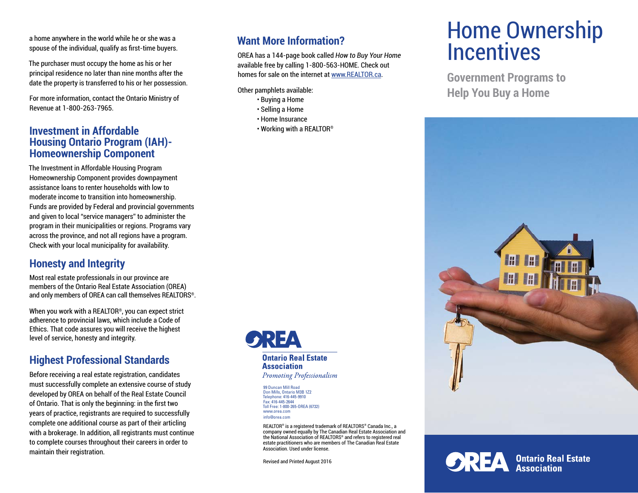a home anywhere in the world while he or she was a spouse of the individual, qualify as first-time buyers.

The purchaser must occupy the home as his or her principal residence no later than nine months after the date the property is transferred to his or her possession.

For more information, contact the Ontario Ministry of Revenue at 1-800-263-7965.

## **Investment in Affordable Housing Ontario Program (IAH)- Homeownership Component**

The Investment in Affordable Housing Program Homeownership Component provides downpayment assistance loans to renter households with low to moderate income to transition into homeownership. Funds are provided by Federal and provincial governments and given to local "service managers" to administer the program in their municipalities or regions. Programs vary across the province, and not all regions have a program. Check with your local municipality for availability.

# **Honesty and Integrity**

Most real estate professionals in our province are members of the Ontario Real Estate Association (OREA) and only members of OREA can call themselves REALTORS®.

When you work with a REALTOR®, you can expect strict adherence to provincial laws, which include a Code of Ethics. That code assures you will receive the highest level of service, honesty and integrity.

# **Highest Professional Standards**

Before receiving a real estate registration, candidates must successfully complete an extensive course of study developed by OREA on behalf of the Real Estate Council of Ontario. That is only the beginning: in the first two years of practice, registrants are required to successfully complete one additional course as part of their articling with a brokerage. In addition, all registrants must continue to complete courses throughout their careers in order to maintain their registration.

# **Want More Information?**

OREA has a 144-page book called *How to Buy Your Home* available free by calling 1-800-563-HOME. Check out homes for sale on the internet at www.REALTOR.ca.

Other pamphlets available:

- Buying a Home
- Selling a Home
- Home Insurance
- Working with a REALTOR®

**Ontario Real Estate Association** Promoting Professionalism

99 Duncan Mill Road Don Mills, Ontario M3B 1Z2 Telephone: 416-445-9910 Fax: 416-445-2644 Toll Free: 1-800-265-OREA (6732) www.orea.com info@orea.com

REALTOR® is a registered trademark of REALTORS® Canada Inc., a company owned equally by The Canadian Real Estate Association and the National Association of REALTORS® and refers to registered real estate practitioners who are members of The Canadian Real Estate Association. Used under license.

Revised and Printed August 2016

# Home Ownership **Incentives**

**Government Programs to Help You Buy a Home**